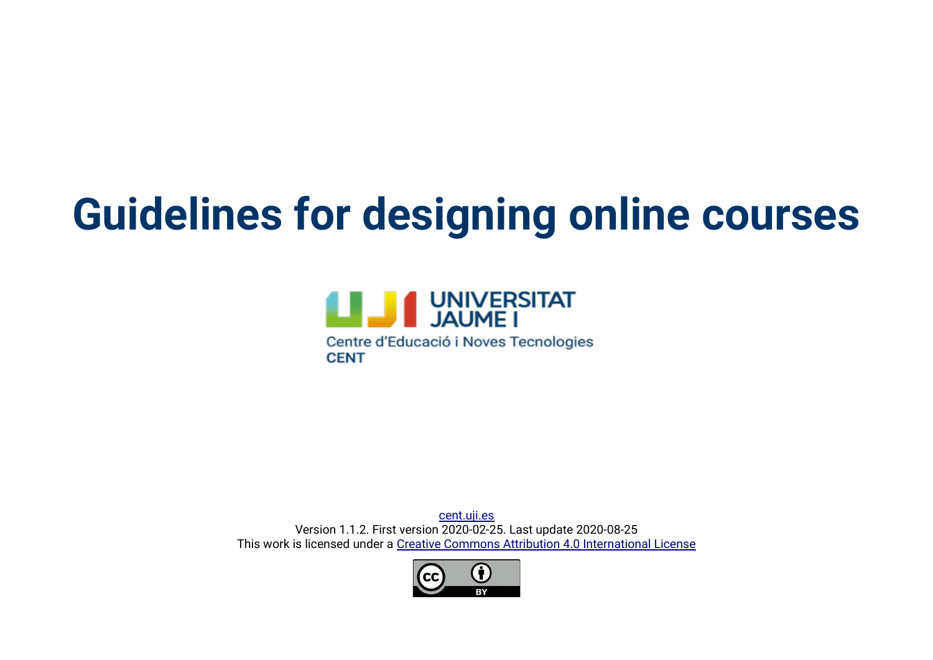# **Guidelines for designing online courses**



Centre d'Educació i Noves Tecnologies **CENT** 

[cent.uji.es](http://cent.uji.es/) Version 1.1.2. First version 2020-02-25. Last update 2020-08-25 This work is licensed under a [Creative Commons Attribution 4.0 International License](http://creativecommons.org/licenses/by/4.0/)

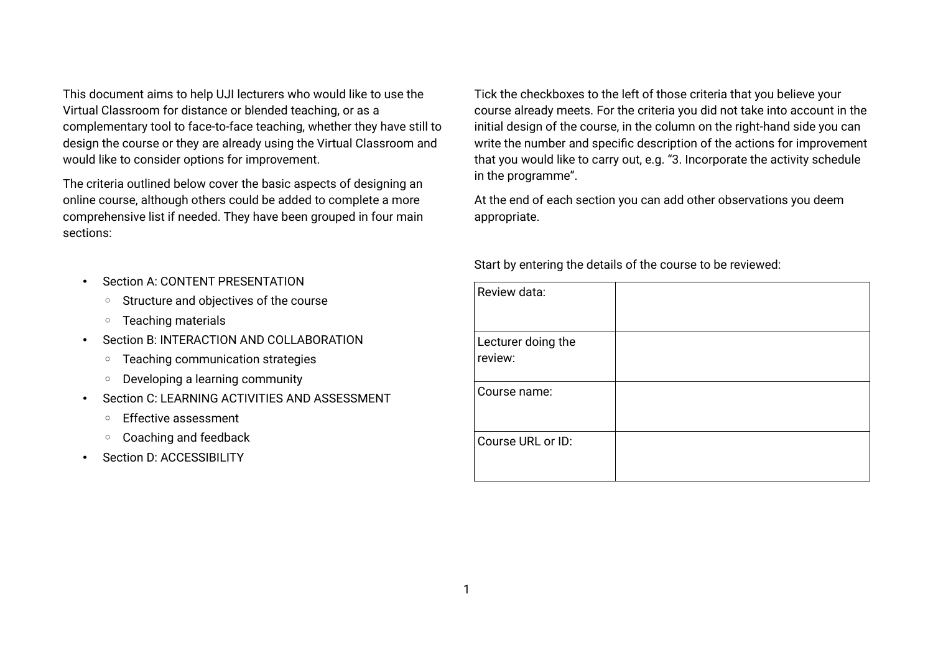This document aims to help UJI lecturers who would like to use the Virtual Classroom for distance or blended teaching, or as a complementary tool to face-to-face teaching, whether they have still to design the course or they are already using the Virtual Classroom and would like to consider options for improvement.

The criteria outlined below cover the basic aspects of designing an online course, although others could be added to complete a more comprehensive list if needed. They have been grouped in four main sections:

- **Section A: CONTENT PRESENTATION** 
	- Structure and objectives of the course
	- Teaching materials
- Section B: INTERACTION AND COLLABORATION
	- Teaching communication strategies
	- Developing a learning community
- Section C: LEARNING ACTIVITIES AND ASSESSMENT
	- Effective assessment
	- Coaching and feedback
- **Section D: ACCESSIBILITY**

Tick the checkboxes to the left of those criteria that you believe your course already meets. For the criteria you did not take into account in the initial design of the course, in the column on the right-hand side you can write the number and specific description of the actions for improvement that you would like to carry out, e.g. "3. Incorporate the activity schedule in the programme".

At the end of each section you can add other observations you deem appropriate.

Start by entering the details of the course to be reviewed:

| Review data:                  |  |
|-------------------------------|--|
| Lecturer doing the<br>review: |  |
| Course name:                  |  |
| Course URL or ID:             |  |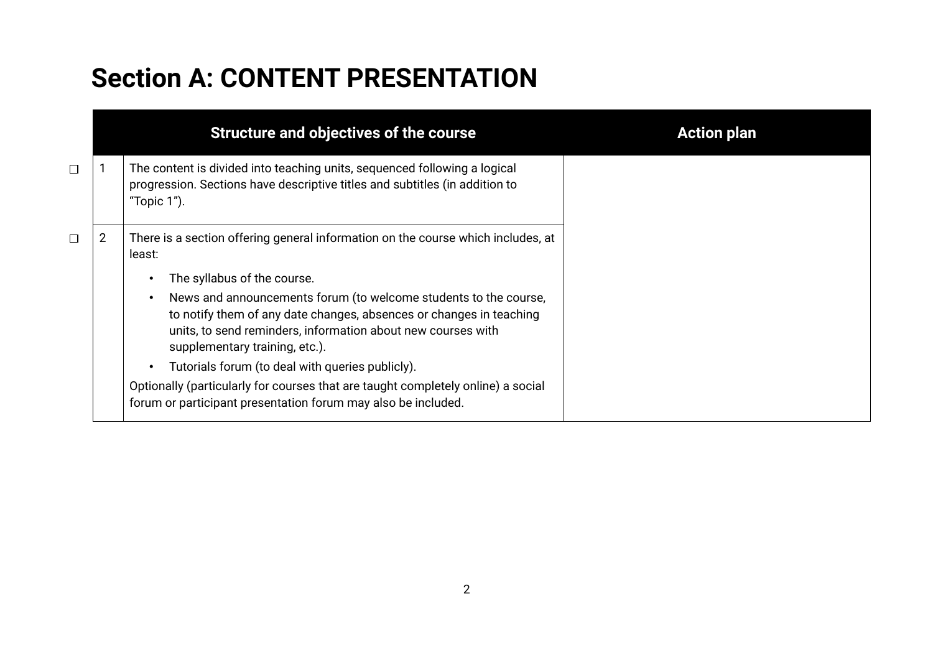## **Section A: CONTENT PRESENTATION**

|        |                | Structure and objectives of the course                                                                                                                                                                                                    | <b>Action plan</b> |
|--------|----------------|-------------------------------------------------------------------------------------------------------------------------------------------------------------------------------------------------------------------------------------------|--------------------|
| $\Box$ |                | The content is divided into teaching units, sequenced following a logical<br>progression. Sections have descriptive titles and subtitles (in addition to<br>"Topic 1").                                                                   |                    |
| $\Box$ | $\overline{2}$ | There is a section offering general information on the course which includes, at<br>least:                                                                                                                                                |                    |
|        |                | The syllabus of the course.                                                                                                                                                                                                               |                    |
|        |                | News and announcements forum (to welcome students to the course,<br>to notify them of any date changes, absences or changes in teaching<br>units, to send reminders, information about new courses with<br>supplementary training, etc.). |                    |
|        |                | Tutorials forum (to deal with queries publicly).                                                                                                                                                                                          |                    |
|        |                | Optionally (particularly for courses that are taught completely online) a social<br>forum or participant presentation forum may also be included.                                                                                         |                    |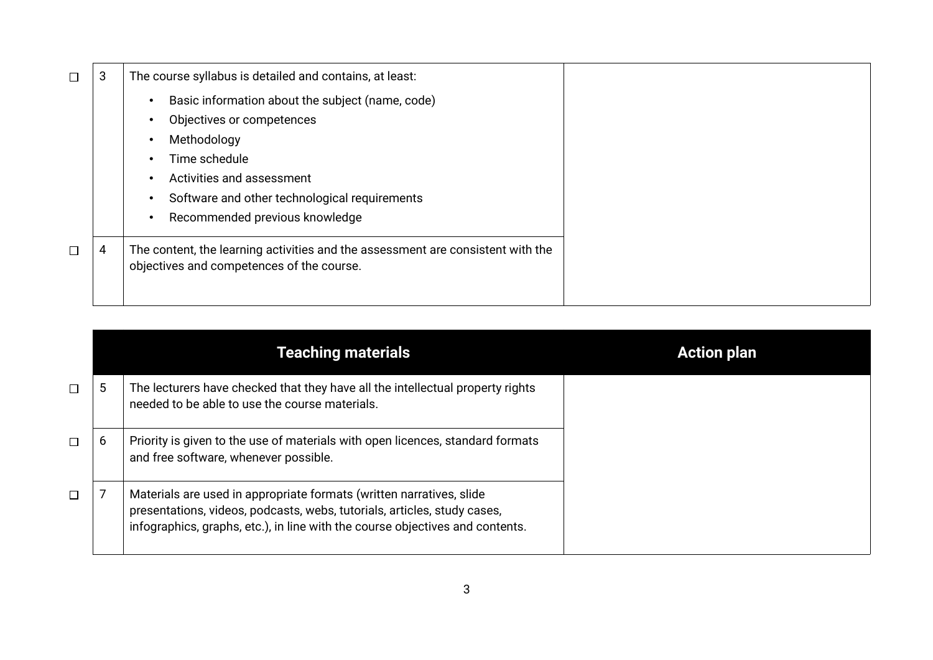| $\Box$ | చ | The course syllabus is detailed and contains, at least:                                                                      |  |  |  |  |  |  |  |  |  |  |  |  |  |
|--------|---|------------------------------------------------------------------------------------------------------------------------------|--|--|--|--|--|--|--|--|--|--|--|--|--|
|        |   | Basic information about the subject (name, code)                                                                             |  |  |  |  |  |  |  |  |  |  |  |  |  |
|        |   | Objectives or competences                                                                                                    |  |  |  |  |  |  |  |  |  |  |  |  |  |
|        |   | Methodology                                                                                                                  |  |  |  |  |  |  |  |  |  |  |  |  |  |
|        |   | Time schedule                                                                                                                |  |  |  |  |  |  |  |  |  |  |  |  |  |
|        |   | Activities and assessment                                                                                                    |  |  |  |  |  |  |  |  |  |  |  |  |  |
|        |   | Software and other technological requirements                                                                                |  |  |  |  |  |  |  |  |  |  |  |  |  |
|        |   | Recommended previous knowledge                                                                                               |  |  |  |  |  |  |  |  |  |  |  |  |  |
| $\Box$ | 4 | The content, the learning activities and the assessment are consistent with the<br>objectives and competences of the course. |  |  |  |  |  |  |  |  |  |  |  |  |  |
|        |   |                                                                                                                              |  |  |  |  |  |  |  |  |  |  |  |  |  |

|        |   | <b>Teaching materials</b>                                                                                                                                                                                                         | <b>Action plan</b> |
|--------|---|-----------------------------------------------------------------------------------------------------------------------------------------------------------------------------------------------------------------------------------|--------------------|
| $\Box$ | 5 | The lecturers have checked that they have all the intellectual property rights<br>needed to be able to use the course materials.                                                                                                  |                    |
| $\Box$ | 6 | Priority is given to the use of materials with open licences, standard formats<br>and free software, whenever possible.                                                                                                           |                    |
| $\Box$ |   | Materials are used in appropriate formats (written narratives, slide<br>presentations, videos, podcasts, webs, tutorials, articles, study cases,<br>infographics, graphs, etc.), in line with the course objectives and contents. |                    |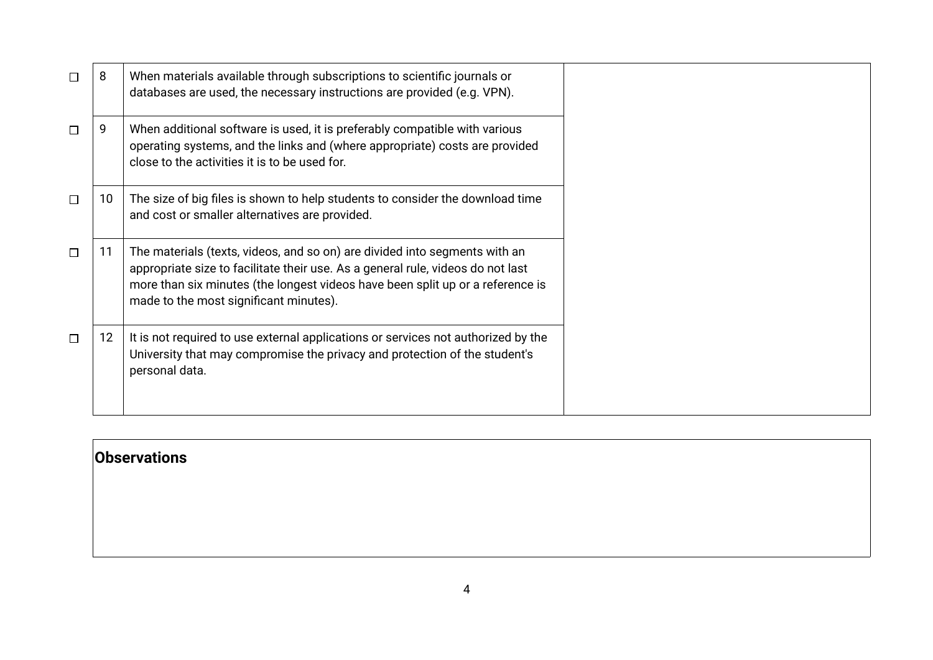|              | 8  | When materials available through subscriptions to scientific journals or<br>databases are used, the necessary instructions are provided (e.g. VPN).                                                                                                                                       |
|--------------|----|-------------------------------------------------------------------------------------------------------------------------------------------------------------------------------------------------------------------------------------------------------------------------------------------|
|              | 9  | When additional software is used, it is preferably compatible with various<br>operating systems, and the links and (where appropriate) costs are provided<br>close to the activities it is to be used for.                                                                                |
| П            | 10 | The size of big files is shown to help students to consider the download time<br>and cost or smaller alternatives are provided.                                                                                                                                                           |
| $\mathsf{L}$ | 11 | The materials (texts, videos, and so on) are divided into segments with an<br>appropriate size to facilitate their use. As a general rule, videos do not last<br>more than six minutes (the longest videos have been split up or a reference is<br>made to the most significant minutes). |
|              | 12 | It is not required to use external applications or services not authorized by the<br>University that may compromise the privacy and protection of the student's<br>personal data.                                                                                                         |

#### **Observations**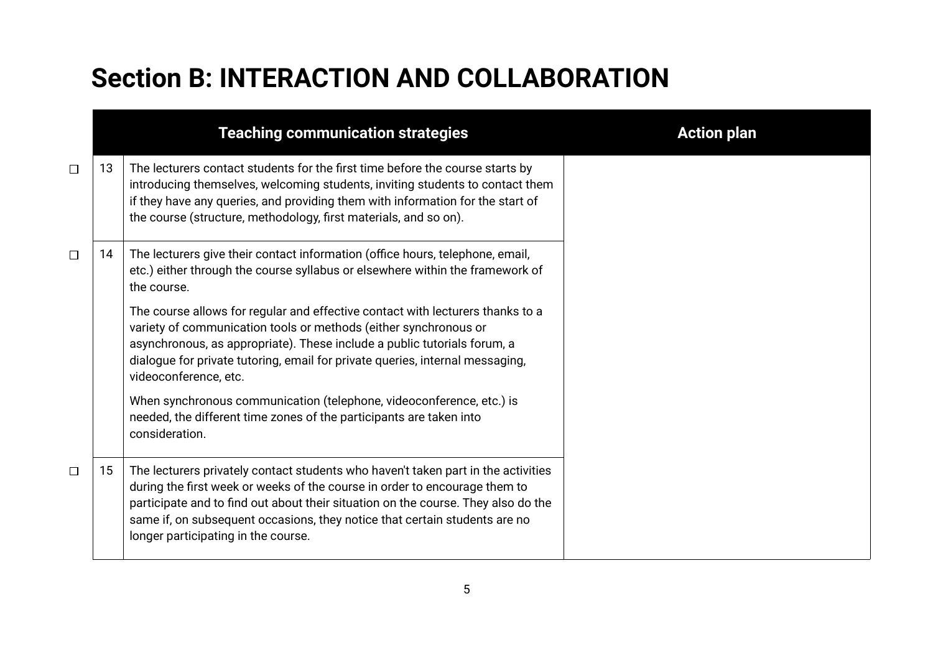## **Section B: INTERACTION AND COLLABORATION**

|        |    | <b>Teaching communication strategies</b>                                                                                                                                                                                                                                                                                                                                  |
|--------|----|---------------------------------------------------------------------------------------------------------------------------------------------------------------------------------------------------------------------------------------------------------------------------------------------------------------------------------------------------------------------------|
| $\Box$ | 13 | The lecturers contact students for the first time before the course starts by<br>introducing themselves, welcoming students, inviting students to contact them<br>if they have any queries, and providing them with information for the start of<br>the course (structure, methodology, first materials, and so on).                                                      |
| $\Box$ | 14 | The lecturers give their contact information (office hours, telephone, email,<br>etc.) either through the course syllabus or elsewhere within the framework of<br>the course.                                                                                                                                                                                             |
|        |    | The course allows for regular and effective contact with lecturers thanks to a<br>variety of communication tools or methods (either synchronous or<br>asynchronous, as appropriate). These include a public tutorials forum, a<br>dialogue for private tutoring, email for private queries, internal messaging,<br>videoconference, etc.                                  |
|        |    | When synchronous communication (telephone, videoconference, etc.) is<br>needed, the different time zones of the participants are taken into<br>consideration.                                                                                                                                                                                                             |
| $\Box$ | 15 | The lecturers privately contact students who haven't taken part in the activities<br>during the first week or weeks of the course in order to encourage them to<br>participate and to find out about their situation on the course. They also do the<br>same if, on subsequent occasions, they notice that certain students are no<br>longer participating in the course. |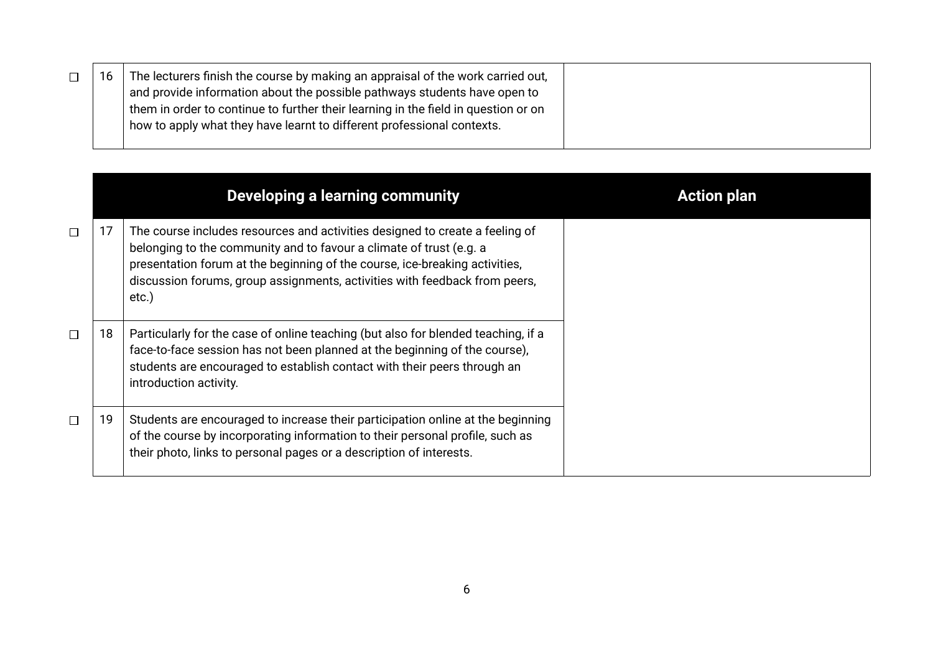|  | The lecturers finish the course by making an appraisal of the work carried out,<br>and provide information about the possible pathways students have open to |  |
|--|--------------------------------------------------------------------------------------------------------------------------------------------------------------|--|
|  | them in order to continue to further their learning in the field in question or on                                                                           |  |
|  | how to apply what they have learnt to different professional contexts.                                                                                       |  |
|  |                                                                                                                                                              |  |

|    | Developing a learning community                                                                                                                                                                                                                                                                                           |
|----|---------------------------------------------------------------------------------------------------------------------------------------------------------------------------------------------------------------------------------------------------------------------------------------------------------------------------|
| 17 | The course includes resources and activities designed to create a feeling of<br>belonging to the community and to favour a climate of trust (e.g. a<br>presentation forum at the beginning of the course, ice-breaking activities,<br>discussion forums, group assignments, activities with feedback from peers,<br>etc.) |
| 18 | Particularly for the case of online teaching (but also for blended teaching, if a<br>face-to-face session has not been planned at the beginning of the course),<br>students are encouraged to establish contact with their peers through an<br>introduction activity.                                                     |
| 19 | Students are encouraged to increase their participation online at the beginning<br>of the course by incorporating information to their personal profile, such as<br>their photo, links to personal pages or a description of interests.                                                                                   |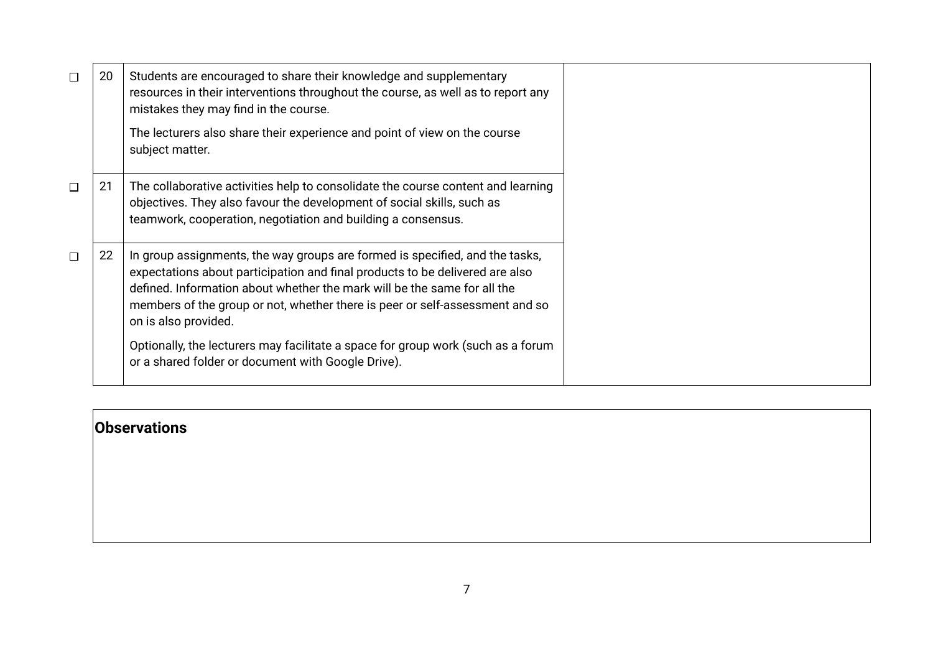| 20 | Students are encouraged to share their knowledge and supplementary<br>resources in their interventions throughout the course, as well as to report any<br>mistakes they may find in the course.<br>The lecturers also share their experience and point of view on the course                                                                     |
|----|--------------------------------------------------------------------------------------------------------------------------------------------------------------------------------------------------------------------------------------------------------------------------------------------------------------------------------------------------|
|    | subject matter.                                                                                                                                                                                                                                                                                                                                  |
| 21 | The collaborative activities help to consolidate the course content and learning<br>objectives. They also favour the development of social skills, such as<br>teamwork, cooperation, negotiation and building a consensus.                                                                                                                       |
| 22 | In group assignments, the way groups are formed is specified, and the tasks,<br>expectations about participation and final products to be delivered are also<br>defined. Information about whether the mark will be the same for all the<br>members of the group or not, whether there is peer or self-assessment and so<br>on is also provided. |
|    | Optionally, the lecturers may facilitate a space for group work (such as a forum<br>or a shared folder or document with Google Drive).                                                                                                                                                                                                           |

**Observations**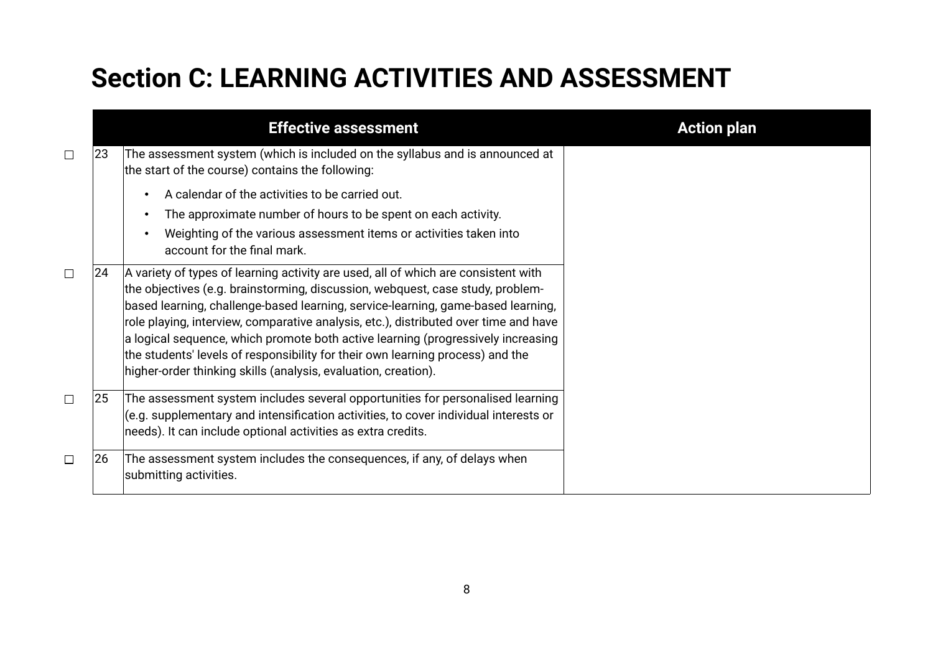## **Section C: LEARNING ACTIVITIES AND ASSESSMENT**

|        |              | <b>Effective assessment</b>                                                                                                                                                                                                                                                                                                                                                                                                                                                                                                                                                              | <b>Action plan</b> |
|--------|--------------|------------------------------------------------------------------------------------------------------------------------------------------------------------------------------------------------------------------------------------------------------------------------------------------------------------------------------------------------------------------------------------------------------------------------------------------------------------------------------------------------------------------------------------------------------------------------------------------|--------------------|
| $\Box$ | 23           | The assessment system (which is included on the syllabus and is announced at<br>the start of the course) contains the following:                                                                                                                                                                                                                                                                                                                                                                                                                                                         |                    |
|        |              | A calendar of the activities to be carried out.                                                                                                                                                                                                                                                                                                                                                                                                                                                                                                                                          |                    |
|        |              | The approximate number of hours to be spent on each activity.                                                                                                                                                                                                                                                                                                                                                                                                                                                                                                                            |                    |
|        |              | Weighting of the various assessment items or activities taken into<br>account for the final mark.                                                                                                                                                                                                                                                                                                                                                                                                                                                                                        |                    |
| $\Box$ | $ 24\rangle$ | A variety of types of learning activity are used, all of which are consistent with<br>the objectives (e.g. brainstorming, discussion, webquest, case study, problem-<br>based learning, challenge-based learning, service-learning, game-based learning,<br>role playing, interview, comparative analysis, etc.), distributed over time and have<br>a logical sequence, which promote both active learning (progressively increasing<br>the students' levels of responsibility for their own learning process) and the<br>higher-order thinking skills (analysis, evaluation, creation). |                    |
| $\Box$ | 25           | The assessment system includes several opportunities for personalised learning<br>$\left $ (e.g. supplementary and intensification activities, to cover individual interests or<br>needs). It can include optional activities as extra credits.                                                                                                                                                                                                                                                                                                                                          |                    |
| $\Box$ | 26           | The assessment system includes the consequences, if any, of delays when<br>submitting activities.                                                                                                                                                                                                                                                                                                                                                                                                                                                                                        |                    |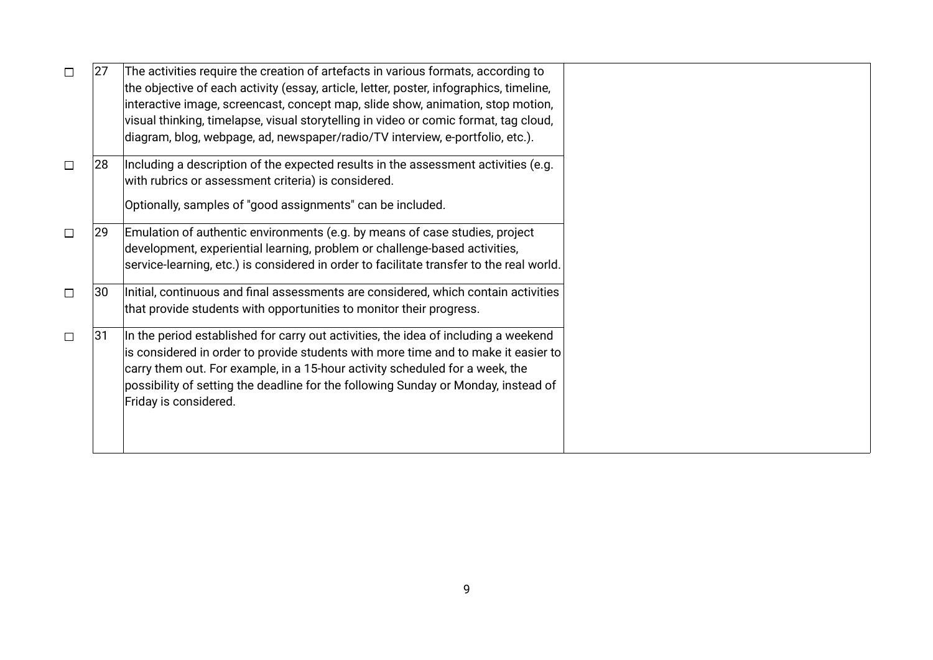| П      | 27 | The activities require the creation of artefacts in various formats, according to<br>the objective of each activity (essay, article, letter, poster, infographics, timeline,<br>interactive image, screencast, concept map, slide show, animation, stop motion,<br>visual thinking, timelapse, visual storytelling in video or comic format, tag cloud,<br>diagram, blog, webpage, ad, newspaper/radio/TV interview, e-portfolio, etc.). |
|--------|----|------------------------------------------------------------------------------------------------------------------------------------------------------------------------------------------------------------------------------------------------------------------------------------------------------------------------------------------------------------------------------------------------------------------------------------------|
| $\Box$ | 28 | Including a description of the expected results in the assessment activities (e.g.<br>with rubrics or assessment criteria) is considered.<br>Optionally, samples of "good assignments" can be included.                                                                                                                                                                                                                                  |
| $\Box$ | 29 | Emulation of authentic environments (e.g. by means of case studies, project<br>development, experiential learning, problem or challenge-based activities,<br>service-learning, etc.) is considered in order to facilitate transfer to the real world.                                                                                                                                                                                    |
| $\Box$ | 30 | Initial, continuous and final assessments are considered, which contain activities<br>that provide students with opportunities to monitor their progress.                                                                                                                                                                                                                                                                                |
| $\Box$ | 31 | In the period established for carry out activities, the idea of including a weekend<br>is considered in order to provide students with more time and to make it easier to<br>carry them out. For example, in a 15-hour activity scheduled for a week, the<br>possibility of setting the deadline for the following Sunday or Monday, instead of<br>Friday is considered.                                                                 |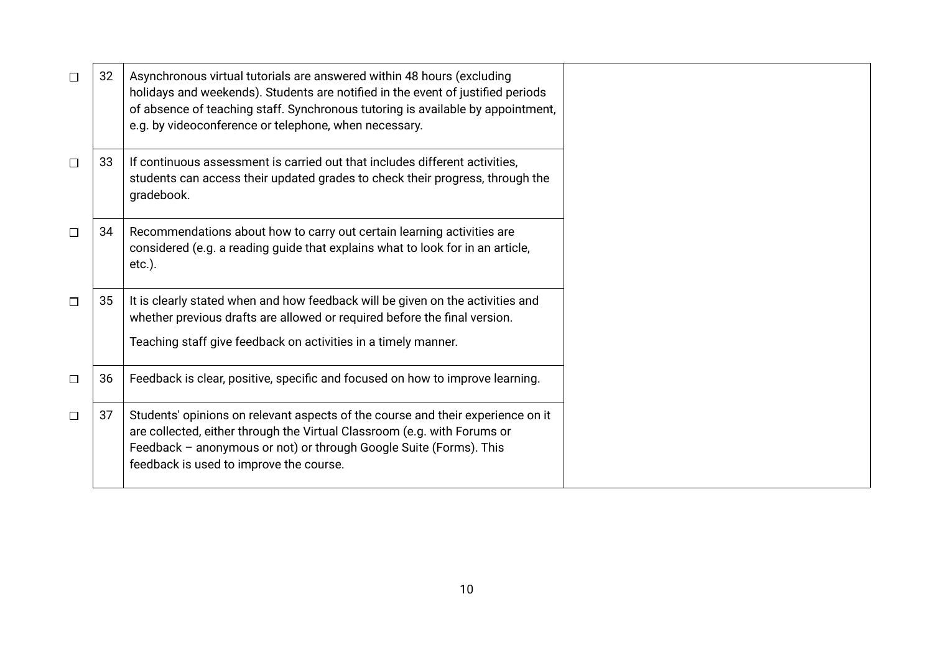|        | 32 | Asynchronous virtual tutorials are answered within 48 hours (excluding<br>holidays and weekends). Students are notified in the event of justified periods<br>of absence of teaching staff. Synchronous tutoring is available by appointment,<br>e.g. by videoconference or telephone, when necessary. |
|--------|----|-------------------------------------------------------------------------------------------------------------------------------------------------------------------------------------------------------------------------------------------------------------------------------------------------------|
| П      | 33 | If continuous assessment is carried out that includes different activities,<br>students can access their updated grades to check their progress, through the<br>gradebook.                                                                                                                            |
| $\Box$ | 34 | Recommendations about how to carry out certain learning activities are<br>considered (e.g. a reading guide that explains what to look for in an article,<br>$etc.$ ).                                                                                                                                 |
| П      | 35 | It is clearly stated when and how feedback will be given on the activities and<br>whether previous drafts are allowed or required before the final version.<br>Teaching staff give feedback on activities in a timely manner.                                                                         |
| П      | 36 | Feedback is clear, positive, specific and focused on how to improve learning.                                                                                                                                                                                                                         |
| $\Box$ | 37 | Students' opinions on relevant aspects of the course and their experience on it<br>are collected, either through the Virtual Classroom (e.g. with Forums or<br>Feedback - anonymous or not) or through Google Suite (Forms). This<br>feedback is used to improve the course.                          |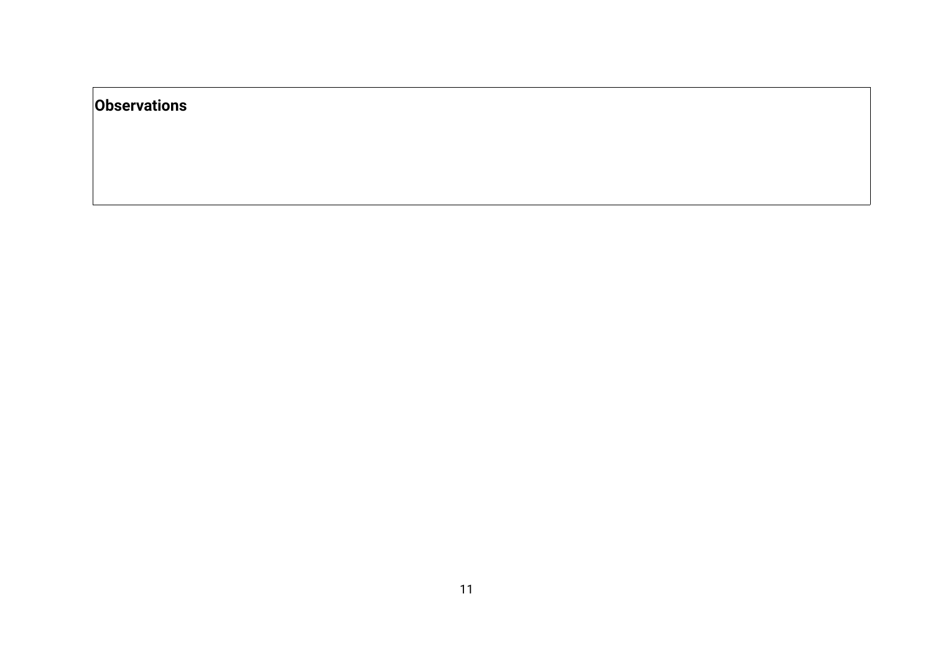| Observations |  |  |  |  |
|--------------|--|--|--|--|
|              |  |  |  |  |
|              |  |  |  |  |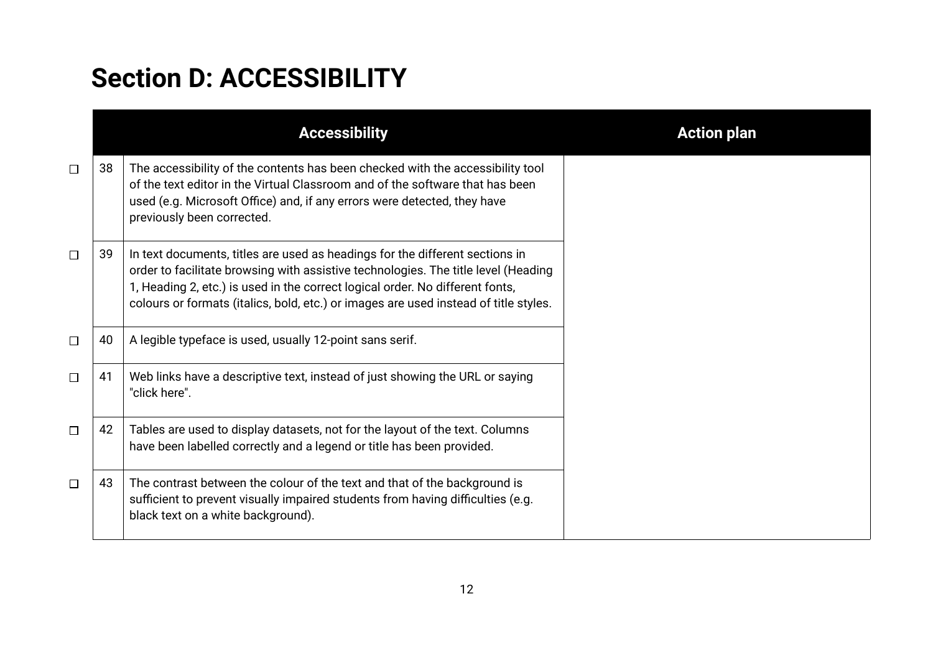#### **Section D: ACCESSIBILITY**

|        |    | <b>Accessibility</b>                                                                                                                                                                                                                                                                                                                        | <b>Action plan</b> |
|--------|----|---------------------------------------------------------------------------------------------------------------------------------------------------------------------------------------------------------------------------------------------------------------------------------------------------------------------------------------------|--------------------|
| $\Box$ | 38 | The accessibility of the contents has been checked with the accessibility tool<br>of the text editor in the Virtual Classroom and of the software that has been<br>used (e.g. Microsoft Office) and, if any errors were detected, they have<br>previously been corrected.                                                                   |                    |
| $\Box$ | 39 | In text documents, titles are used as headings for the different sections in<br>order to facilitate browsing with assistive technologies. The title level (Heading<br>1, Heading 2, etc.) is used in the correct logical order. No different fonts,<br>colours or formats (italics, bold, etc.) or images are used instead of title styles. |                    |
| $\Box$ | 40 | A legible typeface is used, usually 12-point sans serif.                                                                                                                                                                                                                                                                                    |                    |
| $\Box$ | 41 | Web links have a descriptive text, instead of just showing the URL or saying<br>"click here".                                                                                                                                                                                                                                               |                    |
| $\Box$ | 42 | Tables are used to display datasets, not for the layout of the text. Columns<br>have been labelled correctly and a legend or title has been provided.                                                                                                                                                                                       |                    |
| $\Box$ | 43 | The contrast between the colour of the text and that of the background is<br>sufficient to prevent visually impaired students from having difficulties (e.g.<br>black text on a white background).                                                                                                                                          |                    |